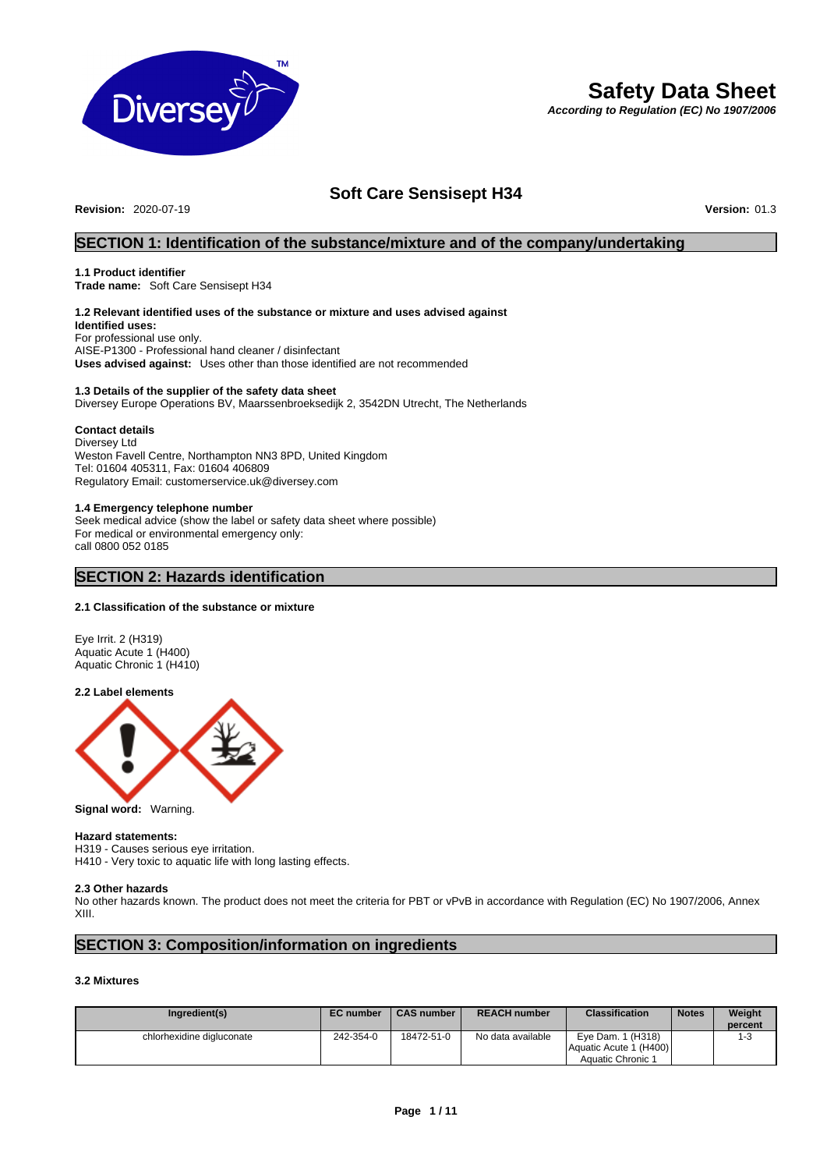

# **Safety Data Sheet**

*According to Regulation (EC) No 1907/2006* 

# **Soft Care Sensisept H34**

**Revision:** 2020-07-19 **Version:** 01.3

# **SECTION 1: Identification of the substance/mixture and of the company/undertaking**

#### **1.1 Product identifier**

**Trade name:** Soft Care Sensisept H34

# **1.2 Relevant identified uses of the substance or mixture and uses advised against**

**Identified uses:**  For professional use only. AISE-P1300 - Professional hand cleaner / disinfectant **Uses advised against:** Uses other than those identified are not recommended

# **1.3 Details of the supplier of the safety data sheet**

Diversey Europe Operations BV, Maarssenbroeksedijk 2, 3542DN Utrecht, The Netherlands

#### **Contact details**

Diversey Ltd Weston Favell Centre, Northampton NN3 8PD, United Kingdom Tel: 01604 405311, Fax: 01604 406809 Regulatory Email: customerservice.uk@diversey.com

# **1.4 Emergency telephone number**

Seek medical advice (show the label or safety data sheet where possible) For medical or environmental emergency only: call 0800 052 0185

# **SECTION 2: Hazards identification**

#### **2.1 Classification of the substance or mixture**

Eye Irrit. 2 (H319) Aquatic Acute 1 (H400) Aquatic Chronic 1 (H410)

#### **2.2 Label elements**



**Signal word:** Warning.

#### **Hazard statements:**

H319 - Causes serious eye irritation. H410 - Very toxic to aquatic life with long lasting effects.

#### **2.3 Other hazards**

No other hazards known. The product does not meet the criteria for PBT or vPvB in accordance with Regulation (EC) No 1907/2006, Annex XIII.

# **SECTION 3: Composition/information on ingredients**

# **3.2 Mixtures**

| Ingredient(s)             | <b>EC</b> number | <b>CAS number</b> | <b>REACH number</b> | <b>Classification</b>                       | <b>Notes</b> | Weight<br>percent |
|---------------------------|------------------|-------------------|---------------------|---------------------------------------------|--------------|-------------------|
| chlorhexidine digluconate | 242-354-0        | 18472-51-0        | No data available   | Eye Dam. 1 (H318)<br>Aquatic Acute 1 (H400) |              | 1-3               |
|                           |                  |                   |                     | Aquatic Chronic 1                           |              |                   |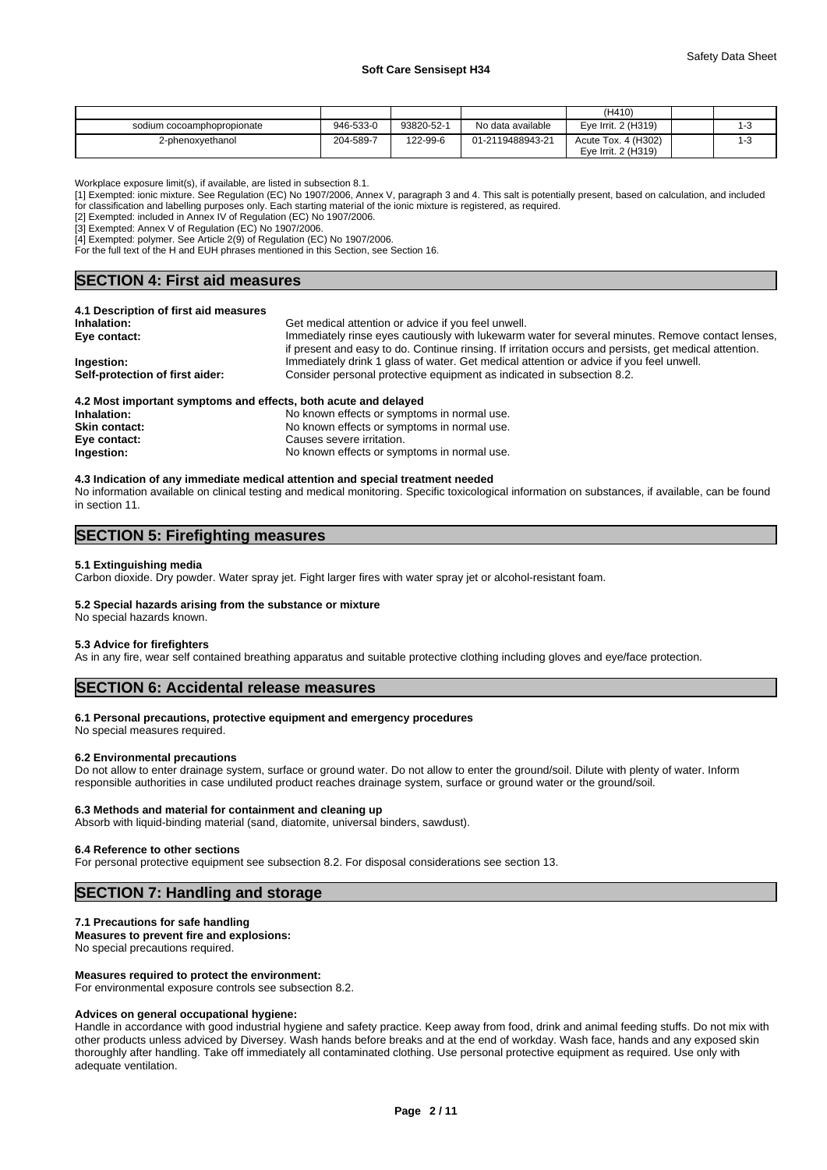|                            |           |            |                   | (H410)              |  |
|----------------------------|-----------|------------|-------------------|---------------------|--|
| sodium cocoamphopropionate | 946-533-0 | 93820-52-1 | No data available | Eve Irrit. 2 (H319) |  |
| 2-phenoxvethanol           | 204-589-7 | 122-99-6   | 01-2119488943-21  | Acute Tox. 4 (H302) |  |
|                            |           |            |                   | Eve Irrit. 2 (H319) |  |

Workplace exposure limit(s), if available, are listed in subsection 8.1.

[1] Exempted: ionic mixture. See Regulation (EC) No 1907/2006, Annex V, paragraph 3 and 4. This salt is potentially present, based on calculation, and included for classification and labelling purposes only. Each starting material of the ionic mixture is registered, as required.

[2] Exempted: included in Annex IV of Regulation (EC) No 1907/2006.

[3] Exempted: Annex V of Regulation (EC) No 1907/2006.

[4] Exempted: polymer. See Article 2(9) of Regulation (EC) No 1907/2006.

For the full text of the H and EUH phrases mentioned in this Section, see Section 16.

# **SECTION 4: First aid measures**

| 4.1 Description of first aid measures |                                                                                                                                                                                                   |
|---------------------------------------|---------------------------------------------------------------------------------------------------------------------------------------------------------------------------------------------------|
| Inhalation:                           | Get medical attention or advice if you feel unwell.                                                                                                                                               |
| Eve contact:                          | Immediately rinse eyes cautiously with lukewarm water for several minutes. Remove contact lenses,                                                                                                 |
| Ingestion:                            | if present and easy to do. Continue rinsing. If irritation occurs and persists, get medical attention.<br>Immediately drink 1 glass of water. Get medical attention or advice if you feel unwell. |
|                                       |                                                                                                                                                                                                   |
| Self-protection of first aider:       | Consider personal protective equipment as indicated in subsection 8.2.                                                                                                                            |
|                                       |                                                                                                                                                                                                   |

| 4.2 Most important symptoms and effects, both acute and delayed |                                             |  |  |  |
|-----------------------------------------------------------------|---------------------------------------------|--|--|--|
| Inhalation:                                                     | No known effects or symptoms in normal use. |  |  |  |
| <b>Skin contact:</b>                                            | No known effects or symptoms in normal use. |  |  |  |
| Eye contact:                                                    | Causes severe irritation.                   |  |  |  |
| Ingestion:                                                      | No known effects or symptoms in normal use. |  |  |  |

#### **4.3 Indication of any immediate medical attention and special treatment needed** No information available on clinical testing and medical monitoring. Specific toxicological information on substances, if available, can be found in section 11.

# **SECTION 5: Firefighting measures**

#### **5.1 Extinguishing media**

Carbon dioxide. Dry powder. Water spray jet. Fight larger fires with water spray jet or alcohol-resistant foam.

# **5.2 Special hazards arising from the substance or mixture**

No special hazards known.

#### **5.3 Advice for firefighters**

As in any fire, wear self contained breathing apparatus and suitable protective clothing including gloves and eye/face protection.

# **SECTION 6: Accidental release measures**

#### **6.1 Personal precautions, protective equipment and emergency procedures**

No special measures required.

#### **6.2 Environmental precautions**

Do not allow to enter drainage system, surface or ground water. Do not allow to enter the ground/soil. Dilute with plenty of water. Inform responsible authorities in case undiluted product reaches drainage system, surface or ground water or the ground/soil.

#### **6.3 Methods and material for containment and cleaning up**

Absorb with liquid-binding material (sand, diatomite, universal binders, sawdust).

#### **6.4 Reference to other sections**

For personal protective equipment see subsection 8.2. For disposal considerations see section 13.

# **SECTION 7: Handling and storage**

#### **7.1 Precautions for safe handling**

**Measures to prevent fire and explosions:** No special precautions required.

### **Measures required to protect the environment:**

For environmental exposure controls see subsection 8.2.

#### **Advices on general occupational hygiene:**

Handle in accordance with good industrial hygiene and safety practice. Keep away from food, drink and animal feeding stuffs. Do not mix with other products unless adviced by Diversey. Wash hands before breaks and at the end of workday. Wash face, hands and any exposed skin thoroughly after handling. Take off immediately all contaminated clothing. Use personal protective equipment as required. Use only with adequate ventilation.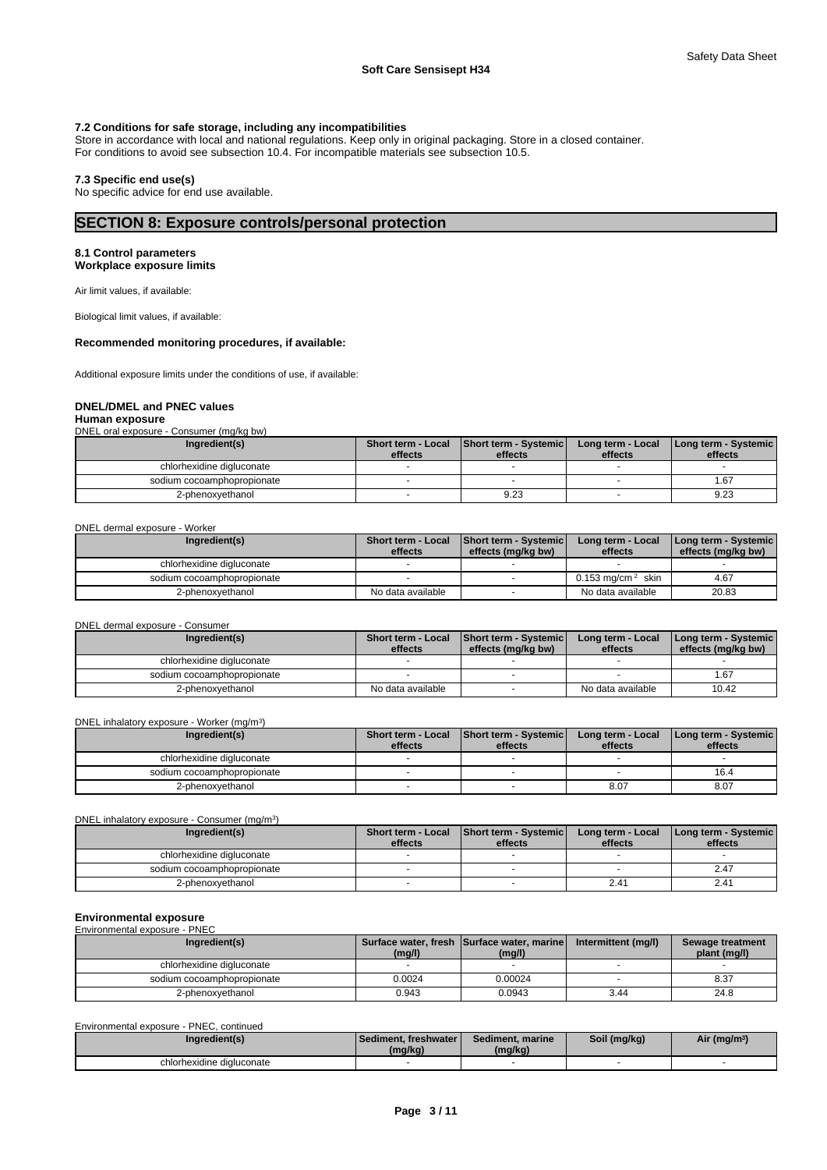## **7.2 Conditions for safe storage, including any incompatibilities**

Store in accordance with local and national regulations. Keep only in original packaging. Store in a closed container. For conditions to avoid see subsection 10.4. For incompatible materials see subsection 10.5.

#### **7.3 Specific end use(s)**

No specific advice for end use available.

# **SECTION 8: Exposure controls/personal protection**

## **8.1 Control parameters**

**Workplace exposure limits** 

Air limit values, if available:

Biological limit values, if available:

# **Recommended monitoring procedures, if available:**

Additional exposure limits under the conditions of use, if available:

### **DNEL/DMEL and PNEC values**

#### **Human exposure**

DNEL oral exposure - Consumer (mg/kg bw)

| Ingredient(s)              | Short term - Local<br>effects | Short term - Systemic<br>effects | Long term - Local<br>effects | [Long term - Systemic]<br>effects |
|----------------------------|-------------------------------|----------------------------------|------------------------------|-----------------------------------|
| chlorhexidine digluconate  |                               |                                  |                              |                                   |
| sodium cocoamphopropionate |                               |                                  |                              | 67،،                              |
| 2-phenoxyethanol           |                               | 9.23                             |                              | 9.23                              |

DNEL dermal exposure - Worker

| Ingredient(s)              | <b>Short term - Local</b><br>effects | Short term - Systemic<br>effects (mg/kg bw) | Long term - Local<br>effects    | Long term - Systemic  <br>effects (mg/kg bw) |
|----------------------------|--------------------------------------|---------------------------------------------|---------------------------------|----------------------------------------------|
| chlorhexidine digluconate  |                                      |                                             |                                 |                                              |
| sodium cocoamphopropionate |                                      |                                             | $0.153$ ma/cm <sup>2</sup> skin | 4.67                                         |
| 2-phenoxyethanol           | No data available                    |                                             | No data available               | 20.83                                        |

DNEL dermal exposure - Consumer

| Ingredient(s)              | <b>Short term - Local</b><br>effects | <b>Short term - Systemic  </b><br>effects (ma/ka bw) | Long term - Local<br>effects | <b>I Long term - Systemic I</b><br>effects (mg/kg bw) |
|----------------------------|--------------------------------------|------------------------------------------------------|------------------------------|-------------------------------------------------------|
| chlorhexidine digluconate  |                                      |                                                      |                              |                                                       |
| sodium cocoamphopropionate |                                      |                                                      |                              | 1.67                                                  |
| 2-phenoxyethanol           | No data available                    |                                                      | No data available            | 10.42                                                 |

DNEL inhalatory exposure - Worker (mg/m<sup>3</sup>) )

| Ingredient(s)              | Short term - Local<br>effects | <b>Short term - Systemicl</b><br>effects | Long term - Local<br>effects | Long term - Systemic<br>effects |
|----------------------------|-------------------------------|------------------------------------------|------------------------------|---------------------------------|
|                            |                               |                                          |                              |                                 |
| chlorhexidine digluconate  |                               |                                          |                              |                                 |
| sodium cocoamphopropionate |                               |                                          |                              | 16.4                            |
| 2-phenoxyethanol           |                               |                                          | 8.07                         | 8.07                            |

DNEL inhalatory exposure - Consumer (mg/m<sup>3</sup>

| Ingredient(s)              | Short term - Local<br>effects | Short term - Systemic<br>effects | Long term - Local<br>effects | <b>I Long term - Systemic I</b><br>effects |
|----------------------------|-------------------------------|----------------------------------|------------------------------|--------------------------------------------|
| chlorhexidine digluconate  |                               |                                  |                              |                                            |
| sodium cocoamphopropionate |                               |                                  |                              | 2.47                                       |
| 2-phenoxyethanol           |                               |                                  | 2.41                         | 2.41                                       |

 $)$ 

# **Environmental exposure**  Environmental exposure - PNEC

| Ingredient(s)              | (mg/l) | Surface water, fresh Surface water, marine<br>(mg/l) | Intermittent (mg/l) | Sewage treatment<br>plant (mg/l) |
|----------------------------|--------|------------------------------------------------------|---------------------|----------------------------------|
| chlorhexidine digluconate  |        |                                                      |                     |                                  |
| sodium cocoamphopropionate | 0.0024 | 0.00024                                              |                     | 8.37                             |
| 2-phenoxyethanol           | 0.943  | 0.0943                                               | 3.44                | 24.8                             |

| Environmental exposure - PNEC, continued |                                     |                             |              |                          |
|------------------------------------------|-------------------------------------|-----------------------------|--------------|--------------------------|
| Ingredient(s)                            | l Sediment. freshwater l<br>(mg/kg) | Sediment, marine<br>(mq/kg) | Soil (mg/kg) | Air (mg/m <sup>3</sup> ) |
| chlorhexidine digluconate                |                                     |                             |              |                          |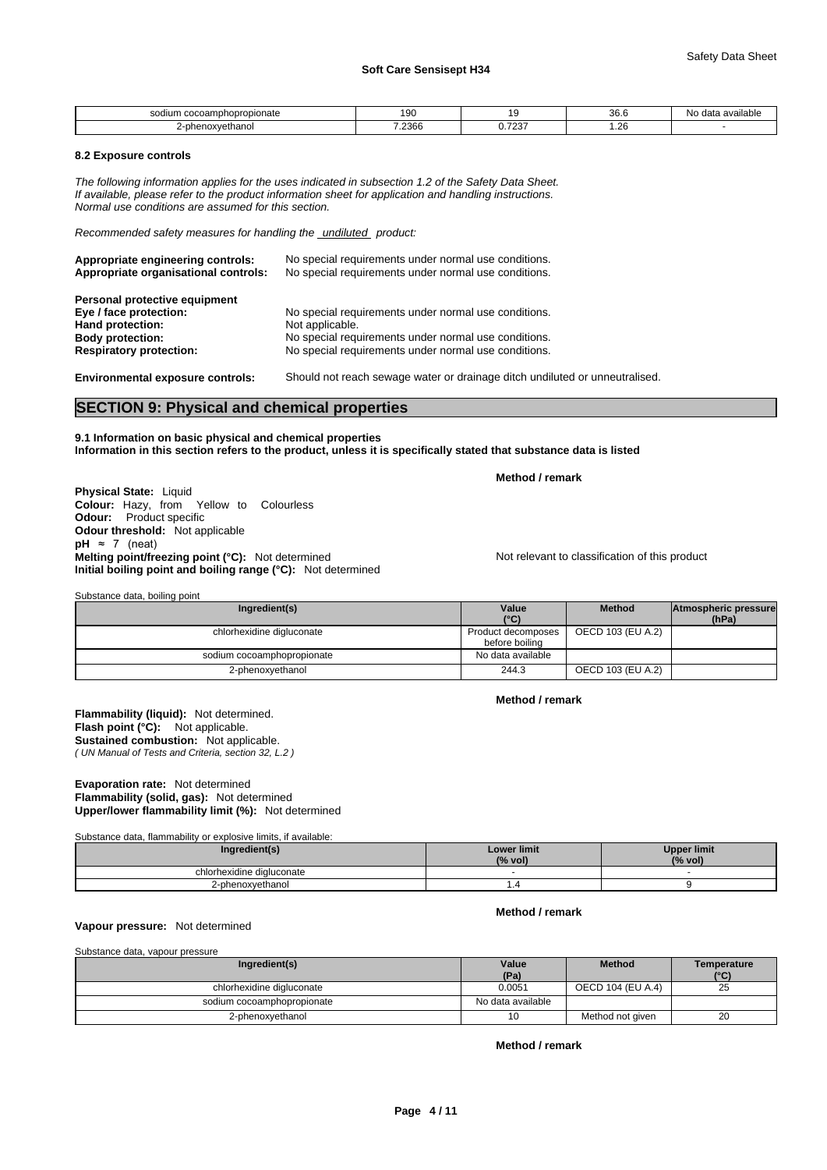| າcoamphopropionate<br>sodium<br>- GOCOALHOLIODI ODI | 90    |                                          | $\Omega$<br>30.D   | available<br>data<br>N0. |
|-----------------------------------------------------|-------|------------------------------------------|--------------------|--------------------------|
| noxvethanol                                         | .2366 | $\overline{\phantom{a}}$<br><b>U.IZJ</b> | $\sim$<br>. ∟ ک. . |                          |

#### **8.2 Exposure controls**

*The following information applies for the uses indicated in subsection 1.2 of the Safety Data Sheet. If available, please refer to the product information sheet for application and handling instructions. Normal use conditions are assumed for this section.*

*Recommended safety measures for handling the undiluted product:*

| Appropriate engineering controls:<br>Appropriate organisational controls: | No special requirements under normal use conditions.<br>No special requirements under normal use conditions. |
|---------------------------------------------------------------------------|--------------------------------------------------------------------------------------------------------------|
| Personal protective equipment                                             |                                                                                                              |
| Eye / face protection:                                                    | No special requirements under normal use conditions.                                                         |
| Hand protection:                                                          | Not applicable.                                                                                              |
| <b>Body protection:</b>                                                   | No special requirements under normal use conditions.                                                         |
| <b>Respiratory protection:</b>                                            | No special requirements under normal use conditions.                                                         |

Substance data, boiling point

**Environmental exposure controls:** Should not reach sewage water or drainage ditch undiluted or unneutralised.

# **SECTION 9: Physical and chemical properties**

**9.1 Information on basic physical and chemical properties Information in this section refers to the product, unless it is specifically stated that substance data is listed** 

**Method / remark** 

**Method / remark** 

**Physical State:** Liquid **Colour:** Hazy, from Yellow to Colourless **Odour:** Product specific **Odour threshold:** Not applicable  $pH \approx 7$  (neat) **Melting point/freezing point (°C):** Not determined Not relevant to classification of this product **Initial boiling point and boiling range (°C):** Not determined

| <b>Jubstance Gata, bolling point</b> |                                      |                   |                               |  |  |  |  |
|--------------------------------------|--------------------------------------|-------------------|-------------------------------|--|--|--|--|
| Ingredient(s)                        | Value<br>(°C)                        | <b>Method</b>     | Atmospheric pressure<br>(hPa) |  |  |  |  |
| chlorhexidine digluconate            | Product decomposes<br>before boiling | OECD 103 (EU A.2) |                               |  |  |  |  |
| sodium cocoamphopropionate           | No data available                    |                   |                               |  |  |  |  |
| 2-phenoxyethanol                     | 244.3                                | OECD 103 (EU A.2) |                               |  |  |  |  |

**Flammability (liquid):** Not determined. *( UN Manual of Tests and Criteria, section 32, L.2 )*  **Flash point (°C):** Not applicable. **Sustained combustion:** Not applicable.

#### **Evaporation rate:** Not determined **Flammability (solid, gas):** Not determined **Upper/lower flammability limit (%):** Not determined

Substance data, flammability or explosive limits, if available:

| Ingredient(s)             | <b>Lower limit</b><br>(% vol) | <b>Upper limit</b><br>(% vol) |
|---------------------------|-------------------------------|-------------------------------|
| chlorhexidine dialuconate |                               |                               |
| 2-phenoxyethanol          |                               |                               |

#### **Vapour pressure:** Not determined

Substance data, vapour pressure

| Ingredient(s)              | Value<br>(Pa)     | <b>Method</b>     | Temperature<br>(°C) |
|----------------------------|-------------------|-------------------|---------------------|
| chlorhexidine digluconate  | 0.0051            | OECD 104 (EU A.4) | 25                  |
| sodium cocoamphopropionate | No data available |                   |                     |
| 2-phenoxyethanol           |                   | Method not aiven  | 20                  |

**Method / remark** 

**Method / remark**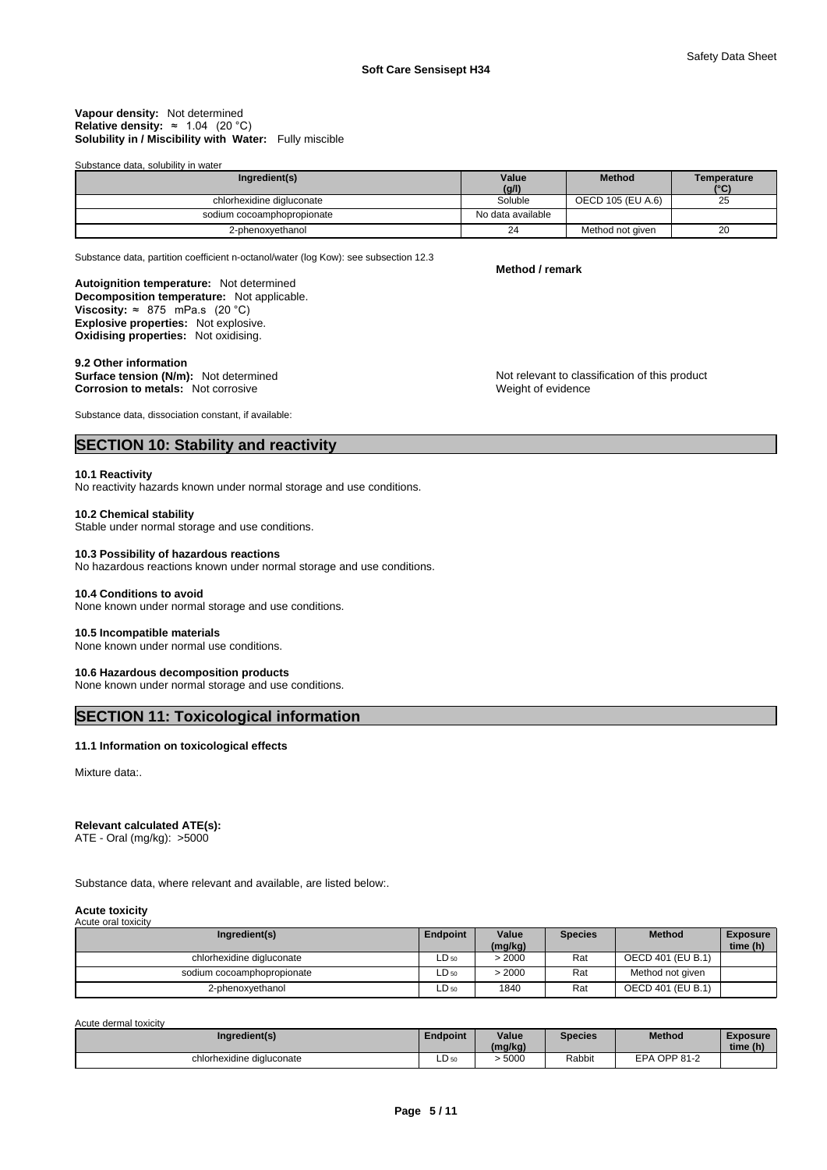#### **Solubility in / Miscibility with Water:** Fully miscible **Vapour density:** Not determined **Relative density:** ≈ 1.04 (20 °C)

Substance data, solubility in water

| Ingredient(s)              | Value<br>(g/l)    | <b>Method</b>     | Temperature<br>(°C) |
|----------------------------|-------------------|-------------------|---------------------|
| chlorhexidine digluconate  | Soluble           | OECD 105 (EU A.6) | 25                  |
| sodium cocoamphopropionate | No data available |                   |                     |
| 2-phenoxvethanol           | 24                | Method not given  | 20                  |

Substance data, partition coefficient n-octanol/water (log Kow): see subsection 12.3

**Method / remark** 

Weight of evidence

**Decomposition temperature:** Not applicable. **Autoignition temperature:** Not determined **Viscosity:**  $\approx$  875 mPa.s (20 °C) **Explosive properties:** Not explosive. **Oxidising properties:** Not oxidising.

#### **9.2 Other information**

**Surface tension (N/m):** Not determined Not relevant to classification of this product **Corrosion to metals:** Not corrosive

Substance data, dissociation constant, if available:

# **SECTION 10: Stability and reactivity**

#### **10.1 Reactivity**

No reactivity hazards known under normal storage and use conditions.

#### **10.2 Chemical stability**

Stable under normal storage and use conditions.

#### **10.3 Possibility of hazardous reactions**

No hazardous reactions known under normal storage and use conditions.

#### **10.4 Conditions to avoid**

None known under normal storage and use conditions.

#### **10.5 Incompatible materials**

None known under normal use conditions.

### **10.6 Hazardous decomposition products**

None known under normal storage and use conditions.

# **SECTION 11: Toxicological information**

# **11.1 Information on toxicological effects**

Mixture data:.

#### **Relevant calculated ATE(s):**

ATE - Oral (mg/kg): >5000

Substance data, where relevant and available, are listed below:.

#### **Acute toxicity**  Acute oral toxicity

| Ingredient(s)              | Endpoint | Value<br>(mq/kg) | <b>Species</b> | <b>Method</b>     | <b>Exposure</b><br>time (h) |
|----------------------------|----------|------------------|----------------|-------------------|-----------------------------|
| chlorhexidine digluconate  | ∟D 50    | 2000             | Rat            | OECD 401 (EU B.1) |                             |
| sodium cocoamphopropionate | ∟D 50    | 2000             | Rat            | Method not given  |                             |
| 2-phenoxyethanol           | ∟D 50    | 1840             | Rat            | OECD 401 (EU B.1) |                             |

Acute dermal toxicity

| Ingredient(s)             | Endpoint                          | Value<br>(mg/kg) | Species | <b>Method</b>   | <b>Exposure</b><br>time (h) |
|---------------------------|-----------------------------------|------------------|---------|-----------------|-----------------------------|
| chlorhexidine digluconate | $\overline{\phantom{0}}$<br>LD 50 | 5000             | Rabbit  | OPP 81-2<br>FPA |                             |

**Page 5 / 11**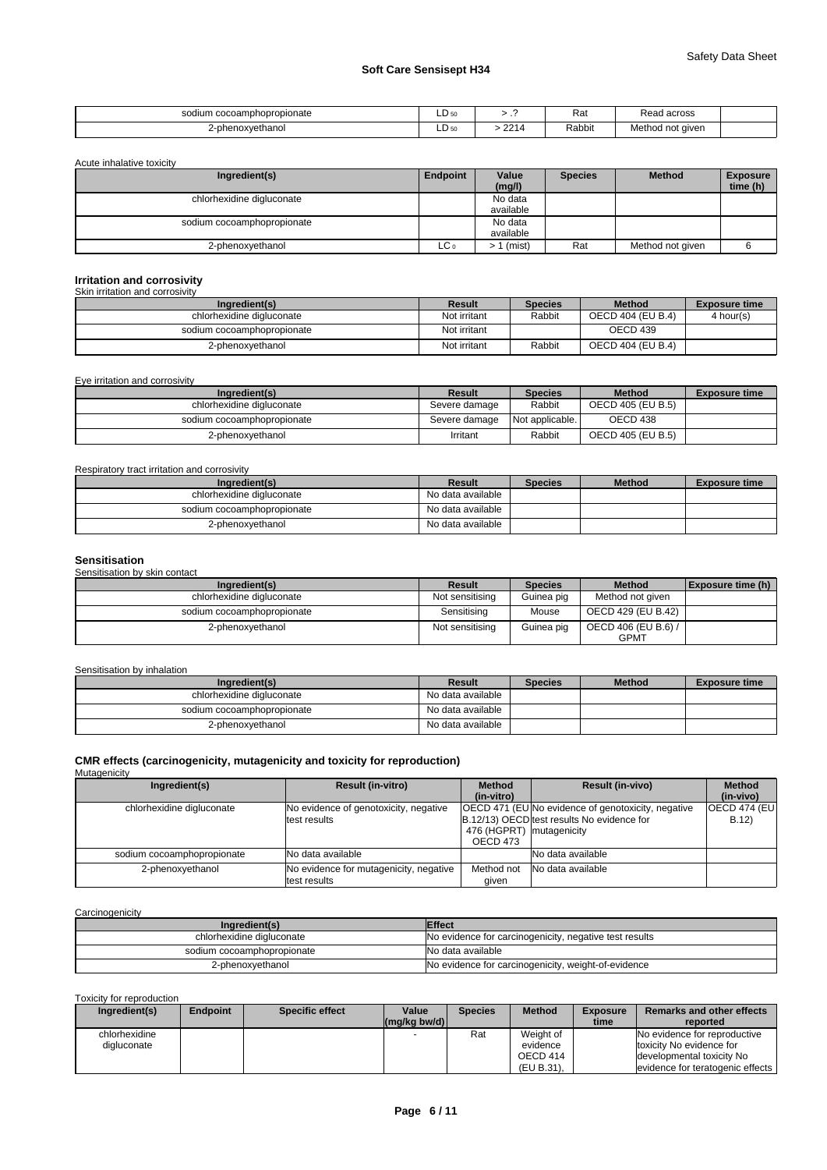| i cocoamphopropionate<br>sodium<br>. | -<br>LD 50 | . .                         | - י<br>Ndi | across<br>، محد<br>76au<br>. |  |
|--------------------------------------|------------|-----------------------------|------------|------------------------------|--|
| '-phenoxvethanol                     | -<br>∟D 5∩ | 0 <sup>A</sup><br><u>__</u> | Rabbit     | Method not aiven             |  |

Acute inhalative toxicity

| Ingredient(s)              | Endpoint        | Value<br>(mg/l) | <b>Species</b> | <b>Method</b>    | <b>Exposure</b><br>time (h) |
|----------------------------|-----------------|-----------------|----------------|------------------|-----------------------------|
| chlorhexidine digluconate  |                 | No data         |                |                  |                             |
|                            |                 | available       |                |                  |                             |
| sodium cocoamphopropionate |                 | No data         |                |                  |                             |
|                            |                 | available       |                |                  |                             |
| 2-phenoxyethanol           | LC <sub>0</sub> | (mist)          | Rat            | Method not given |                             |

# **Irritation and corrosivity**  Skin irritation and corrosivity

| Ingredient(s)              | Result       | <b>Species</b> | <b>Method</b>     | <b>Exposure time</b> |  |  |  |
|----------------------------|--------------|----------------|-------------------|----------------------|--|--|--|
| chlorhexidine digluconate  | Not irritant | Rabbit         | OECD 404 (EU B.4) | 4 hour(s)            |  |  |  |
| sodium cocoamphopropionate | Not irritant |                | OECD 439          |                      |  |  |  |
| 2-phenoxyethanol           | Not irritant | Rabbit         | OECD 404 (EU B.4) |                      |  |  |  |

Eye irritation and corrosivity

| Ingredient(s)              | Result        | <b>Species</b>  | <b>Method</b>     | <b>Exposure time</b> |
|----------------------------|---------------|-----------------|-------------------|----------------------|
| chlorhexidine digluconate  | Severe damage | Rabbit          | OECD 405 (EU B.5) |                      |
| sodium cocoamphopropionate | Severe damage | Not applicable. | OECD 438          |                      |
| 2-phenoxyethanol           | Irritant      | Rabbit          | OECD 405 (EU B.5) |                      |

Respiratory tract irritation and corrosivity

| Ingredient(s)              | Result            | <b>Species</b> | <b>Method</b> | <b>Exposure time</b> |
|----------------------------|-------------------|----------------|---------------|----------------------|
| chlorhexidine digluconate  | No data available |                |               |                      |
| sodium cocoamphopropionate | No data available |                |               |                      |
| 2-phenoxvethanol           | No data available |                |               |                      |

#### **Sensitisation**

Sensitisation by skin contact

| Ingredient(s)              | <b>Result</b>   | <b>Species</b> | <b>Method</b>                      | <b>Exposure time (h)</b> |
|----------------------------|-----------------|----------------|------------------------------------|--------------------------|
| chlorhexidine digluconate  | Not sensitising | Guinea pig     | Method not given                   |                          |
| sodium cocoamphopropionate | Sensitising     | Mouse          | OECD 429 (EU B.42)                 |                          |
| 2-phenoxyethanol           | Not sensitising | Guinea pig     | OECD 406 (EU B.6) /<br><b>GPMT</b> |                          |

#### Sensitisation by inhalation

| Ingredient(s)              | Result            | <b>Species</b> | <b>Method</b> | <b>Exposure time</b> |
|----------------------------|-------------------|----------------|---------------|----------------------|
| chlorhexidine digluconate  | No data available |                |               |                      |
| sodium cocoamphopropionate | No data available |                |               |                      |
| 2-phenoxyethanol           | No data available |                |               |                      |

# **CMR effects (carcinogenicity, mutagenicity and toxicity for reproduction)**  Mutagenicity

| managonony                 |                                        |                           |                                                    |                      |
|----------------------------|----------------------------------------|---------------------------|----------------------------------------------------|----------------------|
| Ingredient(s)              | <b>Result (in-vitro)</b>               | <b>Method</b>             | <b>Result (in-vivo)</b>                            | <b>Method</b>        |
|                            |                                        | (in-vitro)                |                                                    | (in-vivo)            |
| chlorhexidine digluconate  | No evidence of genotoxicity, negative  |                           | OECD 471 (EU No evidence of genotoxicity, negative | <b>OECD 474 (EU)</b> |
|                            | test results                           |                           | B.12/13) OECD test results No evidence for         | B.12                 |
|                            |                                        | 476 (HGPRT) Imutagenicity |                                                    |                      |
|                            |                                        | OECD 473                  |                                                    |                      |
| sodium cocoamphopropionate | INo data available                     |                           | No data available                                  |                      |
| 2-phenoxyethanol           | No evidence for mutagenicity, negative | Method not                | No data available                                  |                      |
|                            | test results                           | aiven                     |                                                    |                      |

**Carcinogenicity** 

| Ingredient(s)              | <b>Effect</b>                                          |
|----------------------------|--------------------------------------------------------|
| chlorhexidine digluconate  | No evidence for carcinogenicity, negative test results |
| sodium cocoamphopropionate | No data available                                      |
| 2-phenoxvethanol           | No evidence for carcinogenicity, weight-of-evidence    |

Toxicity for reproduction

| Ingredient(s) | Endpoint | <b>Specific effect</b> | Value          | <b>Species</b> | <b>Method</b> | <b>Exposure</b> | Remarks and other effects           |
|---------------|----------|------------------------|----------------|----------------|---------------|-----------------|-------------------------------------|
|               |          |                        | $(mq/kg$ bw/d) |                |               | time            | reported                            |
| chlorhexidine |          |                        |                | Rat            | Weight of     |                 | No evidence for reproductive        |
| digluconate   |          |                        |                |                | evidence      |                 | toxicity No evidence for            |
|               |          |                        |                |                | OECD 414      |                 | developmental toxicity No           |
|               |          |                        |                |                | (EU B.31).    |                 | levidence for teratogenic effects I |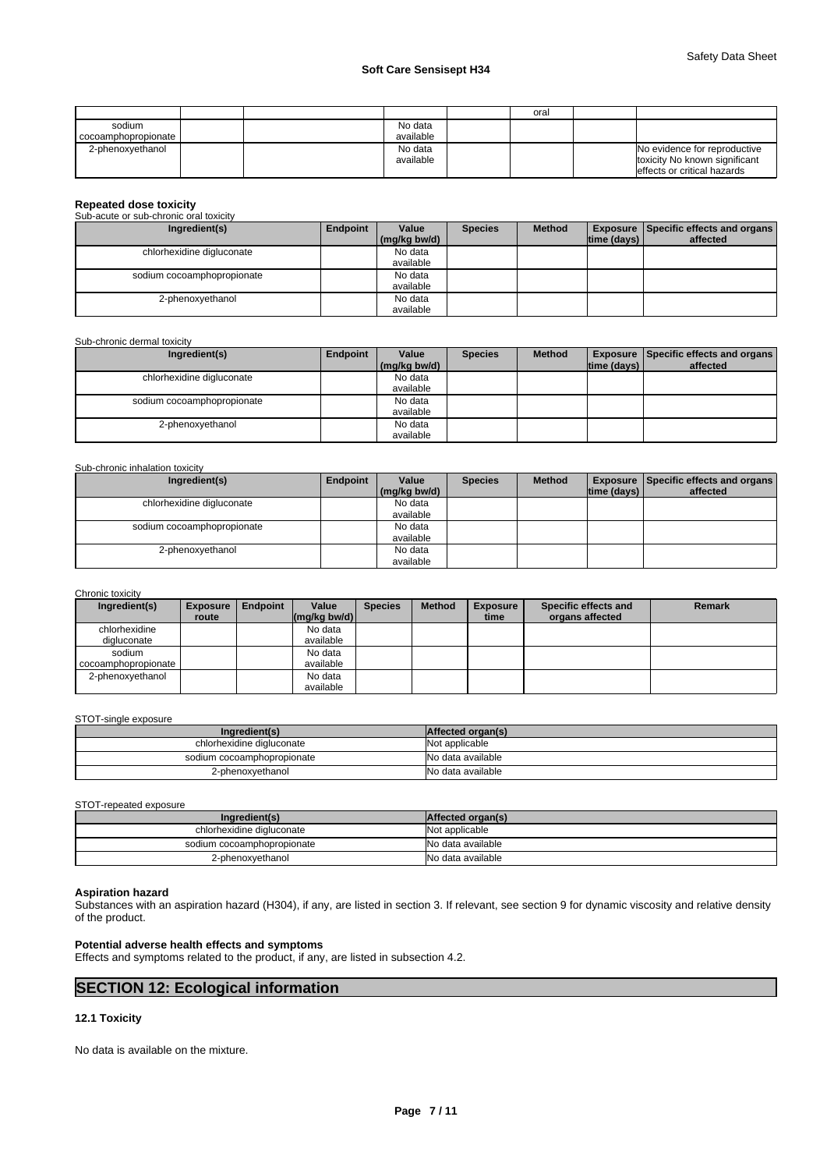|                     |  |           | oral |                               |
|---------------------|--|-----------|------|-------------------------------|
| sodium              |  | No data   |      |                               |
| cocoamphopropionate |  | available |      |                               |
| 2-phenoxyethanol    |  | No data   |      | No evidence for reproductive  |
|                     |  | available |      | toxicity No known significant |
|                     |  |           |      | effects or critical hazards   |

# **Repeated dose toxicity**  Sub-acute or sub-chronic oral toxicity

| Ingredient(s)              | Endpoint | Value        | <b>Species</b> | <b>Method</b> |                    | <b>Exposure   Specific effects and organs  </b> |
|----------------------------|----------|--------------|----------------|---------------|--------------------|-------------------------------------------------|
|                            |          | (mg/kg bw/d) |                |               | $ time$ (days) $ $ | affected                                        |
| chlorhexidine digluconate  |          | No data      |                |               |                    |                                                 |
|                            |          | available    |                |               |                    |                                                 |
| sodium cocoamphopropionate |          | No data      |                |               |                    |                                                 |
|                            |          | available    |                |               |                    |                                                 |
| 2-phenoxyethanol           |          | No data      |                |               |                    |                                                 |
|                            |          | available    |                |               |                    |                                                 |

#### Sub-chronic dermal toxicity

| Ingredient(s)              | Endpoint | Value<br>(mg/kg bw/d) | <b>Species</b> | <b>Method</b> | $ time$ (days) $ $ | <b>Exposure   Specific effects and organs  </b><br>affected |
|----------------------------|----------|-----------------------|----------------|---------------|--------------------|-------------------------------------------------------------|
|                            |          |                       |                |               |                    |                                                             |
| chlorhexidine digluconate  |          | No data               |                |               |                    |                                                             |
|                            |          | available             |                |               |                    |                                                             |
| sodium cocoamphopropionate |          | No data               |                |               |                    |                                                             |
|                            |          | available             |                |               |                    |                                                             |
| 2-phenoxyethanol           |          | No data               |                |               |                    |                                                             |
|                            |          | available             |                |               |                    |                                                             |

#### Sub-chronic inhalation toxicity

| Ingredient(s)              | Endpoint | Value        | <b>Species</b> | <b>Method</b> |                    | <b>Exposure Specific effects and organs</b> |
|----------------------------|----------|--------------|----------------|---------------|--------------------|---------------------------------------------|
|                            |          | (mg/kg bw/d) |                |               | $ time$ (days) $ $ | affected                                    |
| chlorhexidine digluconate  |          | No data      |                |               |                    |                                             |
|                            |          | available    |                |               |                    |                                             |
| sodium cocoamphopropionate |          | No data      |                |               |                    |                                             |
|                            |          | available    |                |               |                    |                                             |
| 2-phenoxyethanol           |          | No data      |                |               |                    |                                             |
|                            |          | available    |                |               |                    |                                             |

#### Chronic toxicity

| Ingredient(s)       | <b>Exposure</b> | <b>Endpoint</b> | Value                                            | <b>Species</b> | <b>Method</b> | <b>Exposure</b> | Specific effects and | <b>Remark</b> |
|---------------------|-----------------|-----------------|--------------------------------------------------|----------------|---------------|-----------------|----------------------|---------------|
|                     | route           |                 | $\left \frac{\text{mg}}{\text{kg}}\right $ bw/d) |                |               | time            | organs affected      |               |
| chlorhexidine       |                 |                 | No data                                          |                |               |                 |                      |               |
| digluconate         |                 |                 | available                                        |                |               |                 |                      |               |
| sodium              |                 |                 | No data                                          |                |               |                 |                      |               |
| cocoamphopropionate |                 |                 | available                                        |                |               |                 |                      |               |
| 2-phenoxvethanol    |                 |                 | No data                                          |                |               |                 |                      |               |
|                     |                 |                 | available                                        |                |               |                 |                      |               |

#### STOT-single exposure

| Ingredient(s)              | Affected organ(s) |
|----------------------------|-------------------|
| chlorhexidine digluconate  | Not applicable    |
| sodium cocoamphopropionate | No data available |
| 2-phenoxyethanol           | No data available |

#### STOT-repeated exposure

| Ingredient(s)              | Affected organ(s) |
|----------------------------|-------------------|
| chlorhexidine digluconate  | Not applicable    |
| sodium cocoamphopropionate | No data available |
| 2-phenoxyethanol           | No data available |

# **Aspiration hazard**

Substances with an aspiration hazard (H304), if any, are listed in section 3. If relevant, see section 9 for dynamic viscosity and relative density of the product.

# **Potential adverse health effects and symptoms**

Effects and symptoms related to the product, if any, are listed in subsection 4.2.

# **SECTION 12: Ecological information**

# **12.1 Toxicity**

No data is available on the mixture.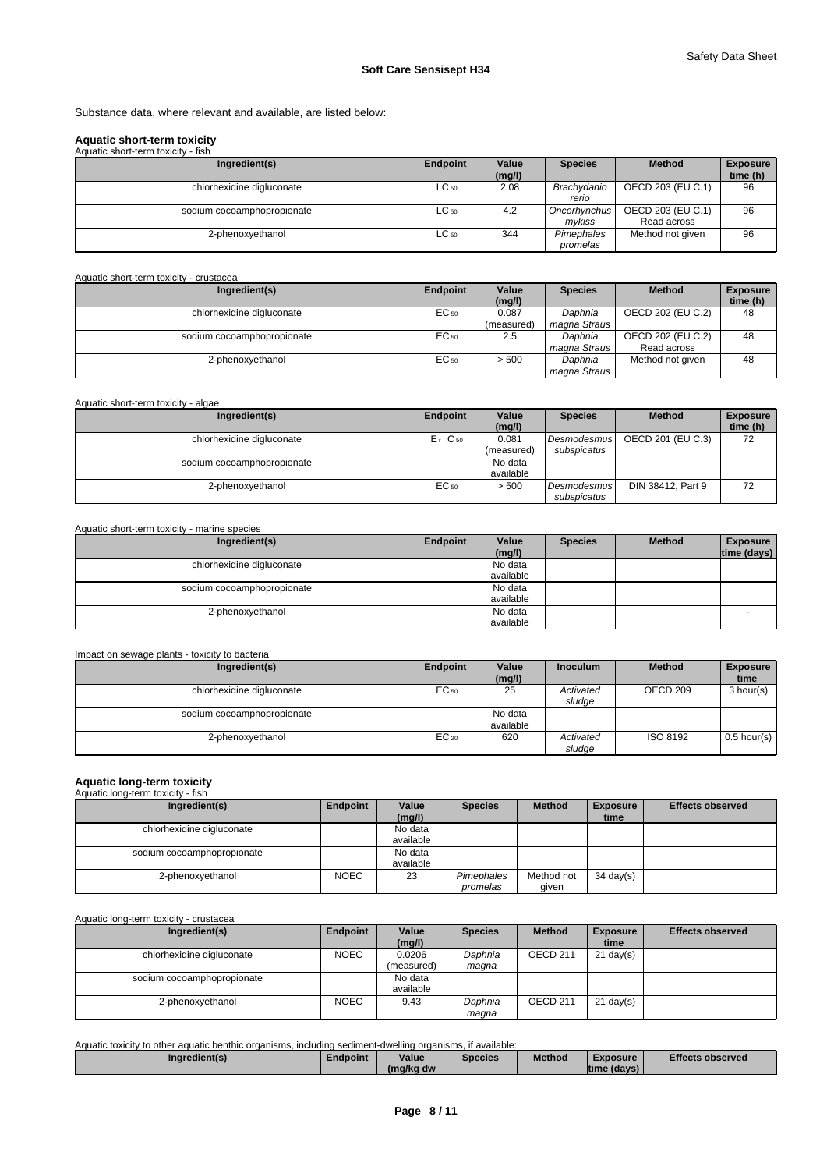Substance data, where relevant and available, are listed below:

### **Aquatic short-term toxicity**

| Aquatic short-term toxicity - fish |           |                 |                          |                                  |                             |
|------------------------------------|-----------|-----------------|--------------------------|----------------------------------|-----------------------------|
| Ingredient(s)                      | Endpoint  | Value<br>(mg/l) | <b>Species</b>           | <b>Method</b>                    | <b>Exposure</b><br>time (h) |
| chlorhexidine digluconate          | ∟C 50     | 2.08            | Brachvdanio<br>rerio     | OECD 203 (EU C.1)                | 96                          |
| sodium cocoamphopropionate         | $LC_{50}$ | 4.2             | Oncorhynchus I<br>mvkiss | OECD 203 (EU C.1)<br>Read across | 96                          |
| 2-phenoxyethanol                   | ∟C 50     | 344             | Pimephales<br>promelas   | Method not given                 | 96                          |

## Aquatic short-term toxicity - crustacea

| Ingredient(s)              | Endpoint  | Value      | <b>Species</b> | <b>Method</b>     | <b>Exposure</b> |
|----------------------------|-----------|------------|----------------|-------------------|-----------------|
|                            |           | (mg/l)     |                |                   | time (h)        |
| chlorhexidine digluconate  | $EC_{50}$ | 0.087      | Daphnia        | OECD 202 (EU C.2) | 48              |
|                            |           | (measured) | magna Straus   |                   |                 |
| sodium cocoamphopropionate | $EC_{50}$ | 2.5        | Daphnia        | OECD 202 (EU C.2) | 48              |
|                            |           |            | magna Straus   | Read across       |                 |
| 2-phenoxyethanol           | $EC_{50}$ | > 500      | Daphnia        | Method not given  | 48              |
|                            |           |            | magna Straus   |                   |                 |

#### Aquatic short-term toxicity - algae **Ingredient(s) Ingredient(s) Endpoint | Value | Species (mg/l) Method** Exposure **time (h)**  chlorhexidine digluconate E<sub>r</sub> C<sub>50</sub> 0.081 (measured)<br>No data Desmodesmus **OECD** 20 *subspicatus*  OECD 201 (EU C.3) 72 sodium cocoamphopropionate available 2-phenoxyethanol EC<sub>50</sub> > 500 *Desmodesmus subspicatus*  DIN 38412, Part 9 72

#### Aquatic short-term toxicity - marine species

| Ingredient(s)              | Endpoint | Value     | <b>Species</b> | <b>Method</b> | <b>Exposure</b> |
|----------------------------|----------|-----------|----------------|---------------|-----------------|
|                            |          | (mg/l)    |                |               | time (days)     |
| chlorhexidine digluconate  |          | No data   |                |               |                 |
|                            |          | available |                |               |                 |
| sodium cocoamphopropionate |          | No data   |                |               |                 |
|                            |          | available |                |               |                 |
| 2-phenoxyethanol           |          | No data   |                |               |                 |
|                            |          | available |                |               |                 |

| Impact on sewage plants - toxicity to bacteria |           |                      |                     |               |                         |
|------------------------------------------------|-----------|----------------------|---------------------|---------------|-------------------------|
| Ingredient(s)                                  | Endpoint  | Value<br>(mg/l)      | <b>Inoculum</b>     | <b>Method</b> | <b>Exposure</b><br>time |
| chlorhexidine digluconate                      | $EC_{50}$ | 25                   | Activated<br>sludae | OECD 209      | 3 hour(s)               |
| sodium cocoamphopropionate                     |           | No data<br>available |                     |               |                         |
| 2-phenoxyethanol                               | $EC_{20}$ | 620                  | Activated<br>sludge | ISO 8192      | $0.5$ hour(s)           |

# **Aquatic long-term toxicity**  Aquatic long-term toxicity - fish

| Ingredient(s)              | Endpoint    | Value     | <b>Species</b> | <b>Method</b> | <b>Exposure</b>     | <b>Effects observed</b> |
|----------------------------|-------------|-----------|----------------|---------------|---------------------|-------------------------|
|                            |             | (mg/l)    |                |               | time                |                         |
| chlorhexidine digluconate  |             | No data   |                |               |                     |                         |
|                            |             | available |                |               |                     |                         |
| sodium cocoamphopropionate |             | No data   |                |               |                     |                         |
|                            |             | available |                |               |                     |                         |
| 2-phenoxyethanol           | <b>NOEC</b> | 23        | Pimephales     | Method not    | $34 \text{ day}(s)$ |                         |
|                            |             |           | promelas       | given         |                     |                         |

Aquatic long-term toxicity - crustacea

| Ingredient(s)              | Endpoint    | Value      | <b>Species</b> | <b>Method</b>       | <b>Exposure</b>     | <b>Effects observed</b> |
|----------------------------|-------------|------------|----------------|---------------------|---------------------|-------------------------|
|                            |             | (mg/l)     |                |                     | time                |                         |
| chlorhexidine digluconate  | <b>NOEC</b> | 0.0206     | Daphnia        | OECD <sub>211</sub> | $21 \text{ day}(s)$ |                         |
|                            |             | (measured) | maqna          |                     |                     |                         |
| sodium cocoamphopropionate |             | No data    |                |                     |                     |                         |
|                            |             | available  |                |                     |                     |                         |
| 2-phenoxyethanol           | <b>NOEC</b> | 9.43       | Daphnia        | OECD <sub>211</sub> | $21$ day(s)         |                         |
|                            |             |            | magna          |                     |                     |                         |

Aquatic toxicity to other aquatic benthic organisms, including sediment-dwelling organisms, if available:

| Ingredient(s) | Endpoint | Value     | Species | Method | Exposure       | <b>Effects observed</b> |
|---------------|----------|-----------|---------|--------|----------------|-------------------------|
|               |          | (mg/kg dw |         |        | Itime (davs) I |                         |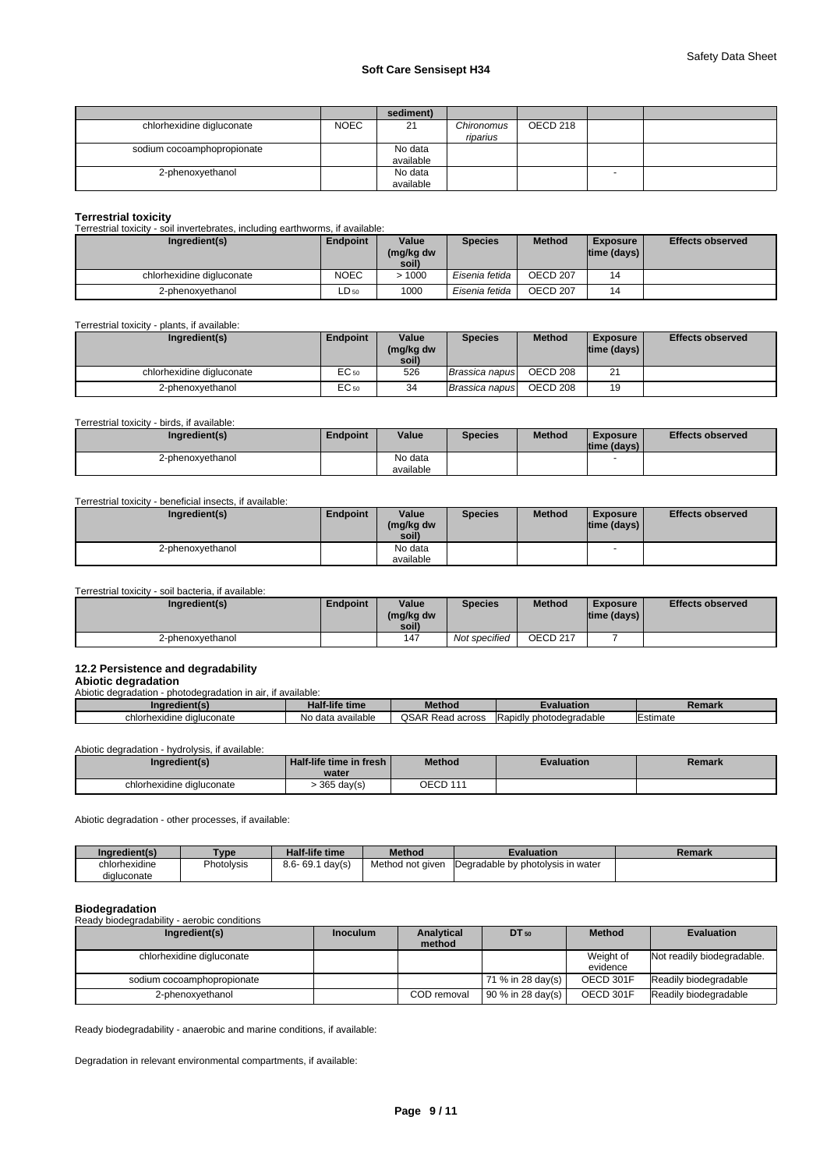|                            |             | sediment) |            |          |   |  |
|----------------------------|-------------|-----------|------------|----------|---|--|
| chlorhexidine digluconate  | <b>NOEC</b> | 21        | Chironomus | OECD 218 |   |  |
|                            |             |           | riparius   |          |   |  |
| sodium cocoamphopropionate |             | No data   |            |          |   |  |
|                            |             | available |            |          |   |  |
| 2-phenoxyethanol           |             | No data   |            |          | - |  |
|                            |             | available |            |          |   |  |

#### **Terrestrial toxicity**

Terrestrial toxicity - soil invertebrates, including earthworms, if available:

| Ingredient(s)             | Endpoint    | Value<br>(mg/kg dw<br>soil) | <b>Species</b> | <b>Method</b>       | <b>Exposure</b><br>$ time$ (days) $ $ | <b>Effects observed</b> |
|---------------------------|-------------|-----------------------------|----------------|---------------------|---------------------------------------|-------------------------|
| chlorhexidine digluconate | <b>NOEC</b> | >1000                       | Eisenia fetida | OECD 207            | 14                                    |                         |
| 2-phenoxyethanol          | LD 50       | 1000                        | Eisenia fetida | OECD <sub>207</sub> | 14                                    |                         |

# Terrestrial toxicity - plants, if available:

| Ingredient(s)             | Endpoint | Value<br>(mg/kg dw<br>soil) | <b>Species</b>  | <b>Method</b> | <b>Exposure</b><br>$ time$ (days) $ $ | <b>Effects observed</b> |
|---------------------------|----------|-----------------------------|-----------------|---------------|---------------------------------------|-------------------------|
| chlorhexidine digluconate | EC 50    | 526                         | Brassica napus  | OECD 208      | 21                                    |                         |
| 2-phenoxyethanol          | EC 50    | 34                          | Brassica napusi | OECD 208      | 19                                    |                         |

Terrestrial toxicity - birds, if available:

| Ingredient(s)                                            | Endpoint | Value     | <b>Species</b> | <b>Method</b> | <b>Exposure</b>                                | <b>Effects observed</b> |
|----------------------------------------------------------|----------|-----------|----------------|---------------|------------------------------------------------|-------------------------|
| 2-phenoxyethanol                                         |          | No data   |                |               | $ time$ (days) $ $<br>$\overline{\phantom{0}}$ |                         |
|                                                          |          | available |                |               |                                                |                         |
|                                                          |          |           |                |               |                                                |                         |
| Terrestrial toxicity - beneficial insects, if available: |          |           |                |               |                                                |                         |

| Ingredient(s)                                       | Endpoint | Value<br>(mg/kg dw<br>soil) | <b>Species</b> | <b>Method</b> | <b>Exposure</b><br>$ time$ (days) $ $ | <b>Effects observed</b> |
|-----------------------------------------------------|----------|-----------------------------|----------------|---------------|---------------------------------------|-------------------------|
| 2-phenoxyethanol                                    |          | No data<br>available        |                |               | $\overline{\phantom{a}}$              |                         |
| Terrestrial toxicity - soil bacteria, if available: |          |                             |                |               |                                       |                         |

| Ingredient(s)    | Endpoint | Value<br>(mg/kg dw<br>soil) | <b>Species</b> | <b>Method</b>       | <b>Exposure</b><br> time (days) | <b>Effects observed</b> |
|------------------|----------|-----------------------------|----------------|---------------------|---------------------------------|-------------------------|
| 2-phenoxyethanol |          | 147                         | Not specified  | OECD <sub>217</sub> |                                 |                         |

# **12.2 Persistence and degradability**

**Abiotic degradation** 

| Abiotic degradation<br>Abiotic degradation - photodegradation in air, if available: |                   |                         |                         |          |  |  |  |
|-------------------------------------------------------------------------------------|-------------------|-------------------------|-------------------------|----------|--|--|--|
| Inaredient(s)                                                                       | Half-life time    | Method                  | <b>Evaluation</b>       | Remark   |  |  |  |
| chlorhexidine digluconate                                                           | No data available | <b>QSAR Read across</b> | Rapidly photodegradable | Estimate |  |  |  |

Abiotic degradation - hydrolysis, if available:

| Ingredient(s)             | Half-life time in fresh I<br>water | Method          | Evaluation | Remark |
|---------------------------|------------------------------------|-----------------|------------|--------|
| chlorhexidine digluconate | $365 \text{ day(s)}$               | <b>OECD 111</b> |            |        |

Abiotic degradation - other processes, if available:

| Inaredient(s) | Type       | Half-life time         | Method           | <b>Evaluation</b>                 | Remark |
|---------------|------------|------------------------|------------------|-----------------------------------|--------|
| chlorhexidine | Photolysis | $8.6 - 69.1$<br>day(s) | Method not given | Degradable by photolysis in water |        |
| digluconate   |            |                        |                  |                                   |        |

#### **Biodegradation**

Ready biodegradability - aerobic conditions

| Ingredient(s)              | <b>Inoculum</b> | <b>Analytical</b><br>method | DT 50                 | <b>Method</b>         | <b>Evaluation</b>          |
|----------------------------|-----------------|-----------------------------|-----------------------|-----------------------|----------------------------|
| chlorhexidine digluconate  |                 |                             |                       | Weight of<br>evidence | Not readily biodegradable. |
| sodium cocoamphopropionate |                 |                             | $171 \%$ in 28 day(s) | OECD 301F             | Readily biodegradable      |
| 2-phenoxyethanol           |                 | COD removal                 | $90 \%$ in 28 day(s)  | OECD 301F             | Readily biodegradable      |

Ready biodegradability - anaerobic and marine conditions, if available:

Degradation in relevant environmental compartments, if available: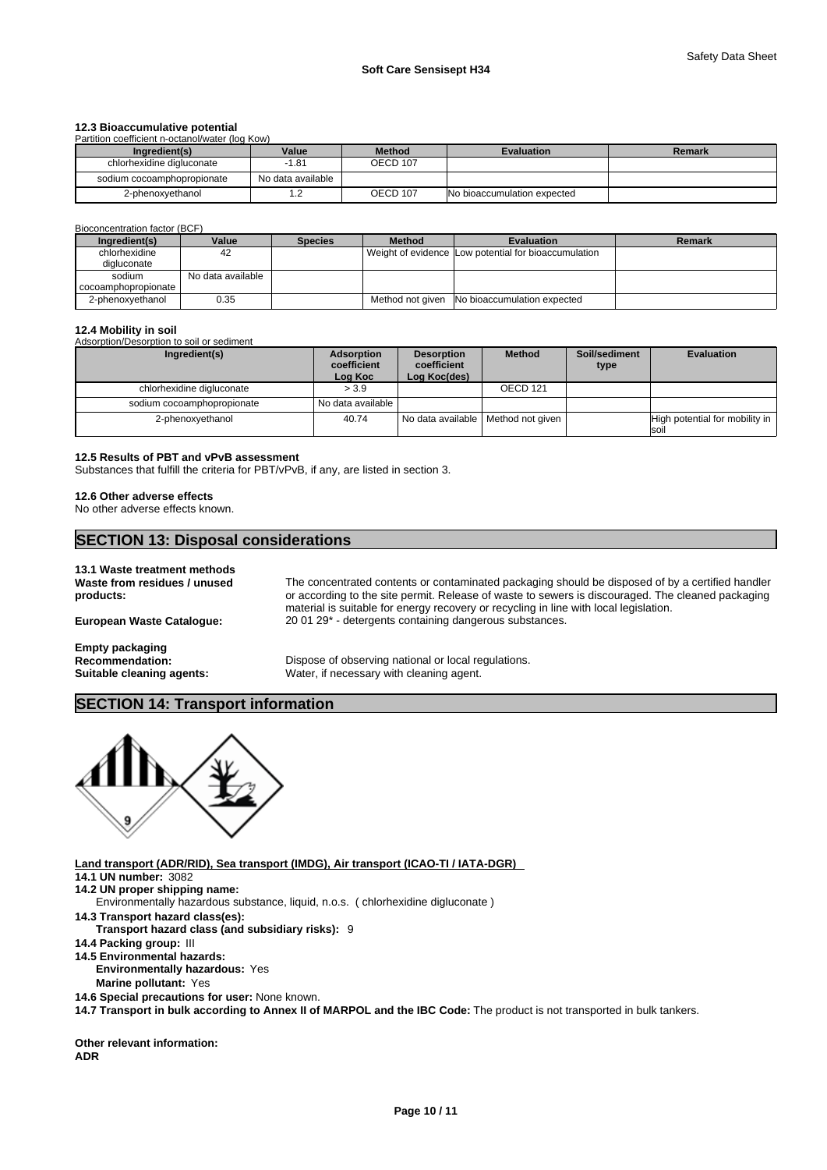# **12.3 Bioaccumulative potential**

| Partition coefficient n-octanol/water (log Kow) |                   |                 |                             |        |  |  |
|-------------------------------------------------|-------------------|-----------------|-----------------------------|--------|--|--|
| Ingredient(s)                                   | Value             | <b>Method</b>   | <b>Evaluation</b>           | Remark |  |  |
| chlorhexidine digluconate                       | $-1.81$           | <b>OECD 107</b> |                             |        |  |  |
| sodium cocoamphopropionate                      | No data available |                 |                             |        |  |  |
| 2-phenoxyethanol                                |                   | OECD 107        | No bioaccumulation expected |        |  |  |

Bioconcentration factor (BCF)

| Ingredient(s)       | Value             | <b>Species</b> | <b>Method</b>    | <b>Evaluation</b>                                    | Remark |
|---------------------|-------------------|----------------|------------------|------------------------------------------------------|--------|
| chlorhexidine       | 42                |                |                  | Weight of evidence Low potential for bioaccumulation |        |
| digluconate         |                   |                |                  |                                                      |        |
| sodium              | No data available |                |                  |                                                      |        |
| cocoamphopropionate |                   |                |                  |                                                      |        |
| 2-phenoxyethanol    | 0.35              |                | Method not given | No bioaccumulation expected                          |        |

#### **12.4 Mobility in soil**

Adsorption/Desorption to soil or sediment

| Ingredient(s)              | Adsorption<br>coefficient<br>Log Koc | <b>Desorption</b><br>coefficient<br>Log Koc(des) | <b>Method</b>                        | Soil/sediment<br>type | <b>Evaluation</b>                      |
|----------------------------|--------------------------------------|--------------------------------------------------|--------------------------------------|-----------------------|----------------------------------------|
| chlorhexidine digluconate  | > 3.9                                |                                                  | OECD 121                             |                       |                                        |
| sodium cocoamphopropionate | No data available                    |                                                  |                                      |                       |                                        |
| 2-phenoxyethanol           | 40.74                                |                                                  | No data available   Method not given |                       | High potential for mobility in<br>soil |

#### **12.5 Results of PBT and vPvB assessment**

Substances that fulfill the criteria for PBT/vPvB, if any, are listed in section 3.

#### **12.6 Other adverse effects**

No other adverse effects known.

# **SECTION 13: Disposal considerations**

| 13.1 Waste treatment methods              |                                                                                                                                                                                                                                                                                                |  |
|-------------------------------------------|------------------------------------------------------------------------------------------------------------------------------------------------------------------------------------------------------------------------------------------------------------------------------------------------|--|
| Waste from residues / unused<br>products: | The concentrated contents or contaminated packaging should be disposed of by a certified handler<br>or according to the site permit. Release of waste to sewers is discouraged. The cleaned packaging<br>material is suitable for energy recovery or recycling in line with local legislation. |  |
| <b>European Waste Cataloque:</b>          | 20 01 29 <sup>*</sup> - detergents containing dangerous substances.                                                                                                                                                                                                                            |  |
| <b>Empty packaging</b>                    |                                                                                                                                                                                                                                                                                                |  |
| Recommendation:                           | Dispose of observing national or local regulations.                                                                                                                                                                                                                                            |  |
| Suitable cleaning agents:                 | Water, if necessary with cleaning agent.                                                                                                                                                                                                                                                       |  |
|                                           |                                                                                                                                                                                                                                                                                                |  |

# **SECTION 14: Transport information**



**Land transport (ADR/RID), Sea transport (IMDG), Air transport (ICAO-TI / IATA-DGR) 14.1 UN number:** 3082 **14.2 UN proper shipping name: 14.3 Transport hazard class(es): Transport hazard class (and subsidiary risks):** 9 **14.4 Packing group:** III **14.5 Environmental hazards: Environmentally hazardous:** Yes **Marine pollutant:** Yes **14.6 Special precautions for user:** None known. **14.7 Transport in bulk according to Annex II of MARPOL and the IBC Code:** The product is not transported in bulk tankers. Environmentally hazardous substance, liquid, n.o.s. ( chlorhexidine digluconate )

**Other relevant information: ADR**